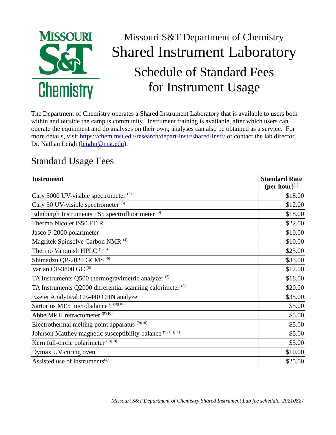

## Missouri S&T Department of Chemistry Shared Instrument Laboratory Schedule of Standard Fees for Instrument Usage

The Department of Chemistry operates a Shared Instrument Laboratory that is available to users both within and outside the campus community. Instrument training is available, after which users can operate the equipment and do analyses on their own; analyses can also be obtained as a service. For more details, visit<https://chem.mst.edu/research/depart-instr/shared-instr/>or contact the lab director, Dr. Nathan Leigh [\(leighn@mst.edu](mailto:leighn@mst.edu)).

## Standard Usage Fees

| <b>Instrument</b>                                                     | <b>Standard Rate</b><br>(per hour) $^{(1)}$ |
|-----------------------------------------------------------------------|---------------------------------------------|
|                                                                       |                                             |
| Cary 5000 UV-visible spectrometer <sup>(3)</sup>                      | \$18.00                                     |
| Cary 50 UV-visible spectrometer <sup>(3)</sup>                        | \$12.00                                     |
| Edinburgh Instruments FS5 spectrofluorimeter <sup>(3)</sup>           | \$18.00                                     |
| Thermo Nicolet iS50 FTIR                                              | \$22.00                                     |
| Jasco P-2000 polarimeter                                              | \$10.00                                     |
| Magritek Spinsolve Carbon NMR <sup>(4)</sup>                          | \$10.00                                     |
| Thermo Vanquish HPLC <sup>(5)(6)</sup>                                | \$25.00                                     |
| Shimadzu QP-2020 GCMS <sup>(6)</sup>                                  | \$33.00                                     |
| Varian CP-3800 GC <sup>(6)</sup>                                      | \$12.00                                     |
| TA Instruments Q500 thermogravimetric analyzer $(7)$                  | \$18.00                                     |
| TA Instruments Q2000 differential scanning calorimeter <sup>(7)</sup> | \$20.00                                     |
| Exeter Analytical CE-440 CHN analyzer                                 | \$35.00                                     |
| Sartorius ME5 microbalance <sup>(8)(9)(10)</sup>                      | \$5.00                                      |
| Abbe Mk II refractometer (9)(10)                                      | \$5.00                                      |
| Electrothermal melting point apparatus $(9)(10)$                      | \$5.00                                      |
| Johnson Matthey magnetic susceptibility balance (9)(10)(11)           | \$5.00                                      |
| Kern full-circle polarimeter <sup>(9)(10)</sup>                       | \$5.00                                      |
| Dymax UV curing oven                                                  | \$10.00                                     |
| Assisted use of instruments <sup>(2)</sup>                            | \$25.00                                     |